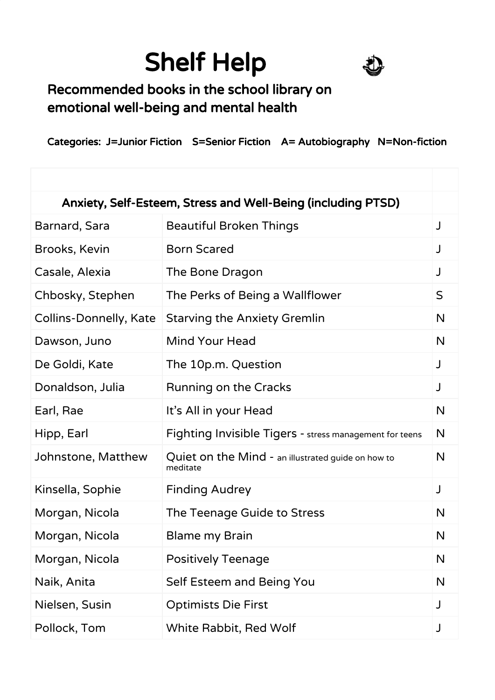## Shelf Help



## Recommended books in the school library on emotional well-being and mental health

Categories: J=Junior Fiction S=Senior Fiction A= Autobiography N=Non-fiction

| Anxiety, Self-Esteem, Stress and Well-Being (including PTSD) |                                                                |              |
|--------------------------------------------------------------|----------------------------------------------------------------|--------------|
| Barnard, Sara                                                | <b>Beautiful Broken Things</b>                                 | J            |
| Brooks, Kevin                                                | <b>Born Scared</b>                                             | J            |
| Casale, Alexia                                               | The Bone Dragon                                                | J            |
| Chbosky, Stephen                                             | The Perks of Being a Wallflower                                | $\mathsf{S}$ |
| Collins-Donnelly, Kate                                       | <b>Starving the Anxiety Gremlin</b>                            | $\mathsf{N}$ |
| Dawson, Juno                                                 | Mind Your Head                                                 | N            |
| De Goldi, Kate                                               | The 10p.m. Question                                            | J            |
| Donaldson, Julia                                             | Running on the Cracks                                          | J            |
| Earl, Rae                                                    | It's All in your Head                                          | N            |
| Hipp, Earl                                                   | Fighting Invisible Tigers - stress management for teens        | N            |
| Johnstone, Matthew                                           | Quiet on the Mind - an illustrated guide on how to<br>meditate | N            |
| Kinsella, Sophie                                             | <b>Finding Audrey</b>                                          | J            |
| Morgan, Nicola                                               | The Teenage Guide to Stress                                    | N            |
| Morgan, Nicola                                               | <b>Blame my Brain</b>                                          | N            |
| Morgan, Nicola                                               | <b>Positively Teenage</b>                                      | N            |
| Naik, Anita                                                  | Self Esteem and Being You                                      | N            |
| Nielsen, Susin                                               | <b>Optimists Die First</b>                                     | J            |
| Pollock, Tom                                                 | White Rabbit, Red Wolf                                         | J            |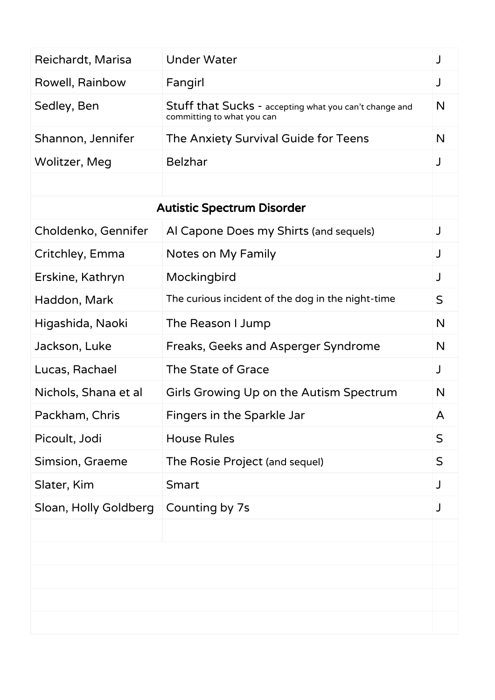| Reichardt, Marisa                 | <b>Under Water</b>                                                                   | J            |
|-----------------------------------|--------------------------------------------------------------------------------------|--------------|
| Rowell, Rainbow                   | Fangirl                                                                              | J            |
| Sedley, Ben                       | Stuff that Sucks - accepting what you can't change and<br>committing to what you can | N            |
| Shannon, Jennifer                 | The Anxiety Survival Guide for Teens                                                 | N            |
| Wolitzer, Meg                     | <b>Belzhar</b>                                                                       | J            |
|                                   |                                                                                      |              |
| <b>Autistic Spectrum Disorder</b> |                                                                                      |              |
| Choldenko, Gennifer               | Al Capone Does my Shirts (and sequels)                                               | J            |
| Critchley, Emma                   | Notes on My Family                                                                   | J            |
| Erskine, Kathryn                  | Mockingbird                                                                          | J            |
| Haddon, Mark                      | The curious incident of the dog in the night-time                                    | $\mathsf S$  |
| Higashida, Naoki                  | The Reason I Jump                                                                    | N            |
| Jackson, Luke                     | Freaks, Geeks and Asperger Syndrome                                                  | N            |
| Lucas, Rachael                    | The State of Grace                                                                   | J            |
| Nichols, Shana et al              | Girls Growing Up on the Autism Spectrum                                              | N            |
| Packham, Chris                    | Fingers in the Sparkle Jar                                                           | A            |
| Picoult, Jodi                     | <b>House Rules</b>                                                                   | $\mathsf S$  |
| Simsion, Graeme                   | The Rosie Project (and sequel)                                                       | $\mathsf{S}$ |
| Slater, Kim                       | Smart                                                                                |              |
| Sloan, Holly Goldberg             | Counting by 7s                                                                       | J            |
|                                   |                                                                                      |              |
|                                   |                                                                                      |              |
|                                   |                                                                                      |              |
|                                   |                                                                                      |              |
|                                   |                                                                                      |              |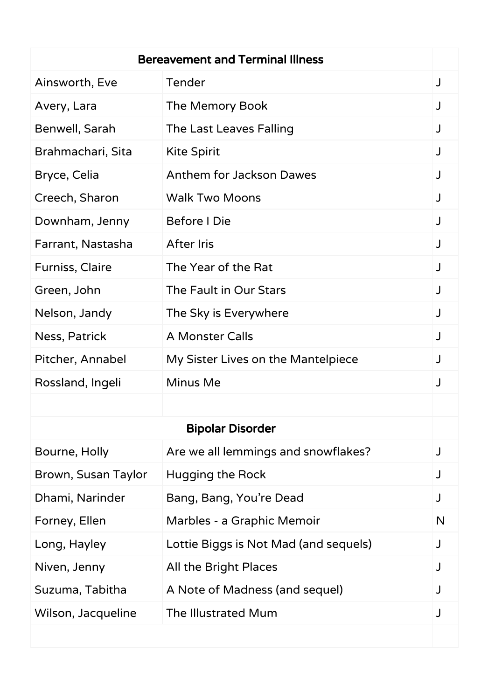| <b>Bereavement and Terminal Illness</b> |                                       |   |
|-----------------------------------------|---------------------------------------|---|
| Ainsworth, Eve                          | Tender                                | J |
| Avery, Lara                             | The Memory Book                       |   |
| Benwell, Sarah                          | The Last Leaves Falling               | J |
| Brahmachari, Sita                       | <b>Kite Spirit</b>                    |   |
| Bryce, Celia                            | Anthem for Jackson Dawes              |   |
| Creech, Sharon                          | <b>Walk Two Moons</b>                 | J |
| Downham, Jenny                          | Before I Die                          |   |
| Farrant, Nastasha                       | <b>After Iris</b>                     |   |
| <b>Furniss, Claire</b>                  | The Year of the Rat                   | J |
| Green, John                             | The Fault in Our Stars                |   |
| Nelson, Jandy                           | The Sky is Everywhere                 |   |
| Ness, Patrick                           | <b>A Monster Calls</b>                |   |
| Pitcher, Annabel                        | My Sister Lives on the Mantelpiece    |   |
| Rossland, Ingeli                        | Minus Me                              |   |
|                                         |                                       |   |
|                                         | <b>Bipolar Disorder</b>               |   |
| Bourne, Holly                           | Are we all lemmings and snowflakes?   | J |
| Brown, Susan Taylor                     | Hugging the Rock                      |   |
| Dhami, Narinder                         | Bang, Bang, You're Dead               |   |
| Forney, Ellen                           | Marbles - a Graphic Memoir            | N |
| Long, Hayley                            | Lottie Biggs is Not Mad (and sequels) | J |
| Niven, Jenny                            | All the Bright Places                 | J |
| Suzuma, Tabitha                         | A Note of Madness (and sequel)        | J |
| Wilson, Jacqueline                      | The Illustrated Mum                   |   |
|                                         |                                       |   |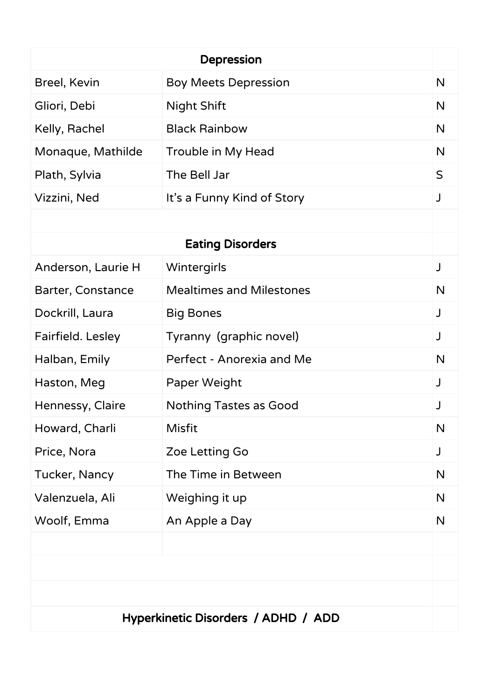| <b>Depression</b>                   |                                 |             |
|-------------------------------------|---------------------------------|-------------|
| Breel, Kevin                        | <b>Boy Meets Depression</b>     | N           |
| Gliori, Debi                        | <b>Night Shift</b>              | N           |
| Kelly, Rachel                       | <b>Black Rainbow</b>            | N           |
| Monaque, Mathilde                   | Trouble in My Head              | N           |
| Plath, Sylvia                       | The Bell Jar                    | $\mathsf S$ |
| Vizzini, Ned                        | It's a Funny Kind of Story      | J           |
|                                     |                                 |             |
|                                     | <b>Eating Disorders</b>         |             |
| Anderson, Laurie H                  | Wintergirls                     | J           |
| Barter, Constance                   | <b>Mealtimes and Milestones</b> | N           |
| Dockrill, Laura                     | <b>Big Bones</b>                | J           |
| Fairfield. Lesley                   | Tyranny (graphic novel)         | J           |
| Halban, Emily                       | Perfect - Anorexia and Me       | N           |
| Haston, Meg                         | Paper Weight                    | J           |
| Hennessy, Claire                    | <b>Nothing Tastes as Good</b>   |             |
| Howard, Charli                      | <b>Misfit</b>                   | N           |
| Price, Nora                         | Zoe Letting Go                  | J           |
| Tucker, Nancy                       | The Time in Between             | N           |
| Valenzuela, Ali                     | Weighing it up                  | N           |
| Woolf, Emma                         | An Apple a Day                  | N           |
|                                     |                                 |             |
|                                     |                                 |             |
|                                     |                                 |             |
| Hyperkinetic Disorders / ADHD / ADD |                                 |             |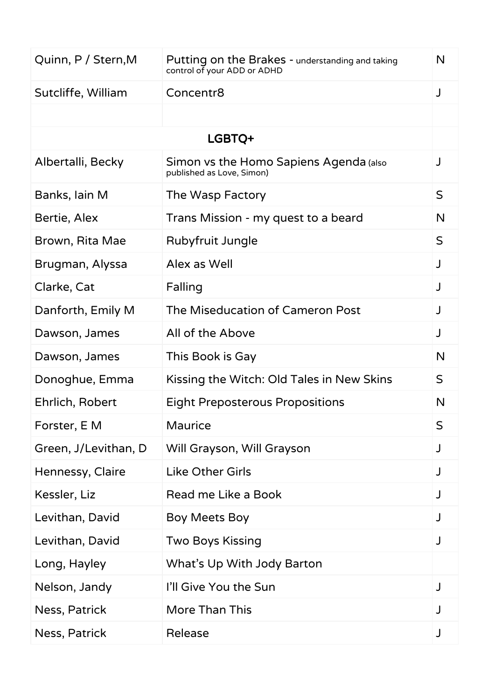| Quinn, P / Stern, M  | Putting on the Brakes - understanding and taking<br>control of your ADD or ADHD | N            |
|----------------------|---------------------------------------------------------------------------------|--------------|
| Sutcliffe, William   | Concentr8                                                                       | J            |
|                      |                                                                                 |              |
|                      | LGBTQ+                                                                          |              |
| Albertalli, Becky    | Simon vs the Homo Sapiens Agenda (also<br>published as Love, Simon)             |              |
| Banks, lain M        | The Wasp Factory                                                                | $\mathsf{S}$ |
| Bertie, Alex         | Trans Mission - my quest to a beard                                             | $\mathsf{N}$ |
| Brown, Rita Mae      | Rubyfruit Jungle                                                                | $\mathsf{S}$ |
| Brugman, Alyssa      | Alex as Well                                                                    | J            |
| Clarke, Cat          | Falling                                                                         | J            |
| Danforth, Emily M    | The Miseducation of Cameron Post                                                |              |
| Dawson, James        | All of the Above                                                                | J            |
| Dawson, James        | This Book is Gay                                                                | $\mathsf{N}$ |
| Donoghue, Emma       | Kissing the Witch: Old Tales in New Skins                                       | $\mathsf{S}$ |
| Ehrlich, Robert      | <b>Eight Preposterous Propositions</b>                                          | N            |
| Forster, E M         | <b>Maurice</b>                                                                  | S            |
| Green, J/Levithan, D | Will Grayson, Will Grayson                                                      | J            |
| Hennessy, Claire     | <b>Like Other Girls</b>                                                         | J            |
| Kessler, Liz         | Read me Like a Book                                                             |              |
| Levithan, David      | Boy Meets Boy                                                                   |              |
| Levithan, David      | <b>Two Boys Kissing</b>                                                         | J            |
| Long, Hayley         | What's Up With Jody Barton                                                      |              |
| Nelson, Jandy        | I'll Give You the Sun                                                           | J            |
| Ness, Patrick        | <b>More Than This</b>                                                           |              |
| Ness, Patrick        | Release                                                                         | J            |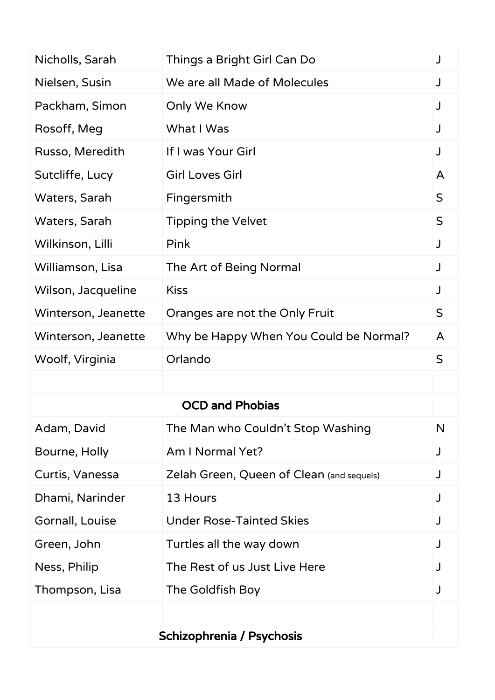| Nicholls, Sarah           | Things a Bright Girl Can Do               | J            |
|---------------------------|-------------------------------------------|--------------|
| Nielsen, Susin            | We are all Made of Molecules              |              |
| Packham, Simon            | Only We Know                              | J            |
| Rosoff, Meg               | What I Was                                | J            |
| Russo, Meredith           | If I was Your Girl                        | J            |
| Sutcliffe, Lucy           | <b>Girl Loves Girl</b>                    | A            |
| Waters, Sarah             | Fingersmith                               | $\mathsf{S}$ |
| Waters, Sarah             | <b>Tipping the Velvet</b>                 | $\mathsf{S}$ |
| Wilkinson, Lilli          | Pink                                      | J            |
| Williamson, Lisa          | The Art of Being Normal                   | J            |
| Wilson, Jacqueline        | <b>Kiss</b>                               | J            |
| Winterson, Jeanette       | Oranges are not the Only Fruit            | $\mathsf S$  |
| Winterson, Jeanette       | Why be Happy When You Could be Normal?    | A            |
| Woolf, Virginia           | Orlando                                   | $\mathsf S$  |
|                           |                                           |              |
|                           | <b>OCD and Phobias</b>                    |              |
| Adam, David               | The Man who Couldn't Stop Washing         | N            |
| Bourne, Holly             | Am I Normal Yet?                          | J            |
| Curtis, Vanessa           | Zelah Green, Queen of Clean (and sequels) |              |
| Dhami, Narinder           | 13 Hours                                  | J            |
| Gornall, Louise           | <b>Under Rose-Tainted Skies</b>           | J            |
| Green, John               | Turtles all the way down                  |              |
| Ness, Philip              | The Rest of us Just Live Here             |              |
| Thompson, Lisa            | The Goldfish Boy                          | J            |
|                           |                                           |              |
| Schizophrenia / Psychosis |                                           |              |